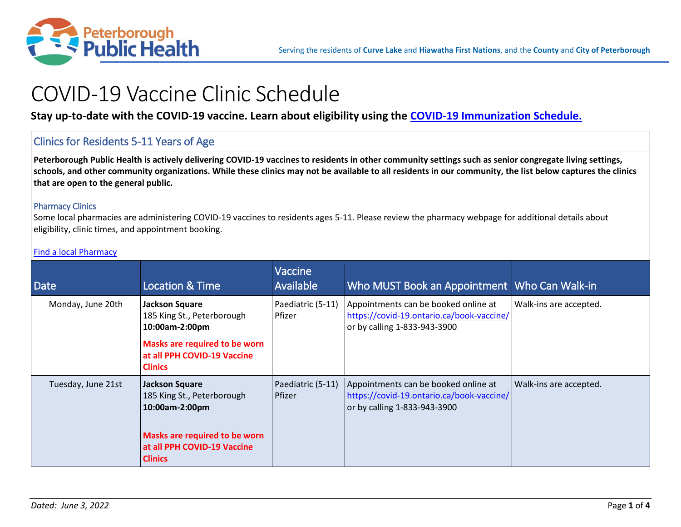

# COVID-19 Vaccine Clinic Schedule

**Stay up-to-date with the COVID-19 vaccine. Learn about eligibility using the [COVID-19 Immunization Schedule.](https://www.peterboroughpublichealth.ca/novel-coronavirus-covid-19/covid-19-vaccine-clinic/#eligible)**

# Clinics for Residents 5-11 Years of Age

**Peterborough Public Health is actively delivering COVID-19 vaccines to residents in other community settings such as senior congregate living settings, schools, and other community organizations. While these clinics may not be available to all residents in our community, the list below captures the clinics that are open to the general public.**

## Pharmacy Clinics

Some local pharmacies are administering COVID-19 vaccines to residents ages 5-11. Please review the pharmacy webpage for additional details about eligibility, clinic times, and appointment booking.

| <b>Date</b>        | <b>Location &amp; Time</b>                                                                                                                              | Vaccine<br>Available               | Who MUST Book an Appointment   Who Can Walk-in                                                                    |                        |
|--------------------|---------------------------------------------------------------------------------------------------------------------------------------------------------|------------------------------------|-------------------------------------------------------------------------------------------------------------------|------------------------|
| Monday, June 20th  | <b>Jackson Square</b><br>185 King St., Peterborough<br>10:00am-2:00pm<br>Masks are required to be worn<br>at all PPH COVID-19 Vaccine<br><b>Clinics</b> | Paediatric (5-11)<br><b>Pfizer</b> | Appointments can be booked online at<br>https://covid-19.ontario.ca/book-vaccine/<br>or by calling 1-833-943-3900 | Walk-ins are accepted. |
| Tuesday, June 21st | <b>Jackson Square</b><br>185 King St., Peterborough<br>10:00am-2:00pm<br>Masks are required to be worn<br>at all PPH COVID-19 Vaccine<br><b>Clinics</b> | Paediatric (5-11)<br>Pfizer        | Appointments can be booked online at<br>https://covid-19.ontario.ca/book-vaccine/<br>or by calling 1-833-943-3900 | Walk-ins are accepted. |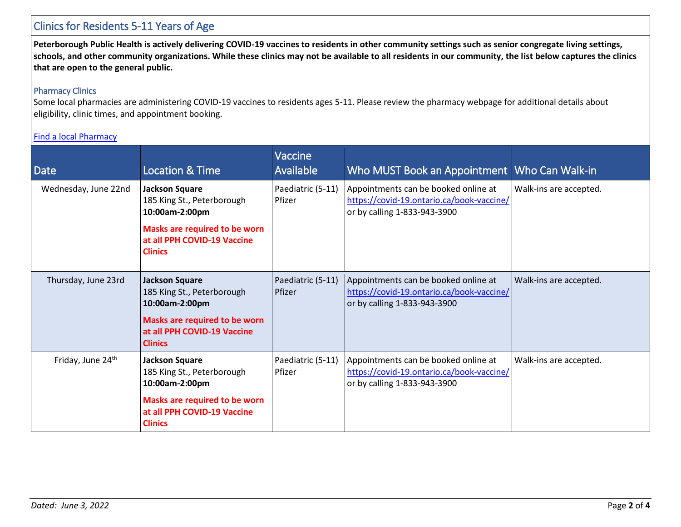## Clinics for Residents 5-11 Years of Age

**Peterborough Public Health is actively delivering COVID-19 vaccines to residents in other community settings such as senior congregate living settings, schools, and other community organizations. While these clinics may not be available to all residents in our community, the list below captures the clinics that are open to the general public.**

## Pharmacy Clinics

Some local pharmacies are administering COVID-19 vaccines to residents ages 5-11. Please review the pharmacy webpage for additional details about eligibility, clinic times, and appointment booking.

| Date                          | <b>Location &amp; Time</b>                                                     | Vaccine<br>Available        | Who MUST Book an Appointment   Who Can Walk-in                                                                    |                        |
|-------------------------------|--------------------------------------------------------------------------------|-----------------------------|-------------------------------------------------------------------------------------------------------------------|------------------------|
| Wednesday, June 22nd          | <b>Jackson Square</b><br>185 King St., Peterborough<br>10:00am-2:00pm          | Paediatric (5-11)<br>Pfizer | Appointments can be booked online at<br>https://covid-19.ontario.ca/book-vaccine/<br>or by calling 1-833-943-3900 | Walk-ins are accepted. |
|                               | Masks are required to be worn<br>at all PPH COVID-19 Vaccine<br><b>Clinics</b> |                             |                                                                                                                   |                        |
| Thursday, June 23rd           | <b>Jackson Square</b><br>185 King St., Peterborough<br>10:00am-2:00pm          | Paediatric (5-11)<br>Pfizer | Appointments can be booked online at<br>https://covid-19.ontario.ca/book-vaccine/<br>or by calling 1-833-943-3900 | Walk-ins are accepted. |
|                               | Masks are required to be worn<br>at all PPH COVID-19 Vaccine<br><b>Clinics</b> |                             |                                                                                                                   |                        |
| Friday, June 24 <sup>th</sup> | <b>Jackson Square</b><br>185 King St., Peterborough<br>10:00am-2:00pm          | Paediatric (5-11)<br>Pfizer | Appointments can be booked online at<br>https://covid-19.ontario.ca/book-vaccine/<br>or by calling 1-833-943-3900 | Walk-ins are accepted. |
|                               | Masks are required to be worn<br>at all PPH COVID-19 Vaccine<br><b>Clinics</b> |                             |                                                                                                                   |                        |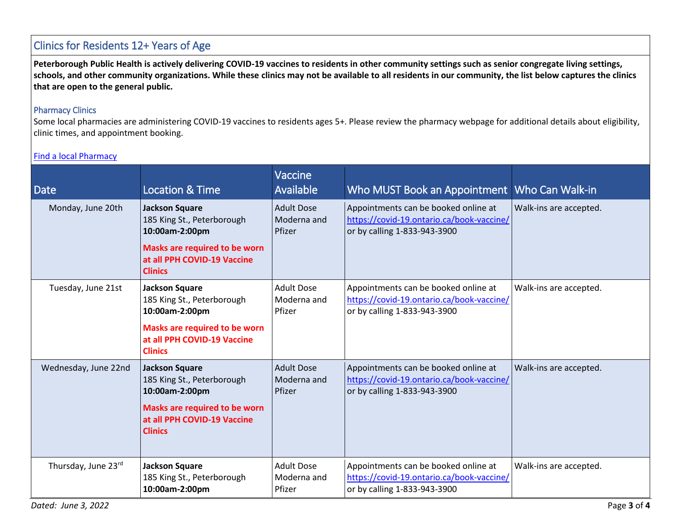## Clinics for Residents 12+ Years of Age

**Peterborough Public Health is actively delivering COVID-19 vaccines to residents in other community settings such as senior congregate living settings, schools, and other community organizations. While these clinics may not be available to all residents in our community, the list below captures the clinics that are open to the general public.**

## Pharmacy Clinics

Some local pharmacies are administering COVID-19 vaccines to residents ages 5+. Please review the pharmacy webpage for additional details about eligibility, clinic times, and appointment booking.

| <b>Date</b>          | <b>Location &amp; Time</b>                                                            | Vaccine<br>Available                       | Who MUST Book an Appointment                                                                                      | Who Can Walk-in        |
|----------------------|---------------------------------------------------------------------------------------|--------------------------------------------|-------------------------------------------------------------------------------------------------------------------|------------------------|
| Monday, June 20th    | <b>Jackson Square</b><br>185 King St., Peterborough<br>10:00am-2:00pm                 | <b>Adult Dose</b><br>Moderna and<br>Pfizer | Appointments can be booked online at<br>https://covid-19.ontario.ca/book-vaccine/<br>or by calling 1-833-943-3900 | Walk-ins are accepted. |
|                      | <b>Masks are required to be worn</b><br>at all PPH COVID-19 Vaccine<br><b>Clinics</b> |                                            |                                                                                                                   |                        |
| Tuesday, June 21st   | <b>Jackson Square</b><br>185 King St., Peterborough<br>10:00am-2:00pm                 | <b>Adult Dose</b><br>Moderna and<br>Pfizer | Appointments can be booked online at<br>https://covid-19.ontario.ca/book-vaccine/<br>or by calling 1-833-943-3900 | Walk-ins are accepted. |
|                      | Masks are required to be worn<br>at all PPH COVID-19 Vaccine<br><b>Clinics</b>        |                                            |                                                                                                                   |                        |
| Wednesday, June 22nd | <b>Jackson Square</b><br>185 King St., Peterborough<br>10:00am-2:00pm                 | <b>Adult Dose</b><br>Moderna and<br>Pfizer | Appointments can be booked online at<br>https://covid-19.ontario.ca/book-vaccine/<br>or by calling 1-833-943-3900 | Walk-ins are accepted. |
|                      | Masks are required to be worn<br>at all PPH COVID-19 Vaccine<br><b>Clinics</b>        |                                            |                                                                                                                   |                        |
| Thursday, June 23rd  | <b>Jackson Square</b><br>185 King St., Peterborough<br>10:00am-2:00pm                 | <b>Adult Dose</b><br>Moderna and<br>Pfizer | Appointments can be booked online at<br>https://covid-19.ontario.ca/book-vaccine/<br>or by calling 1-833-943-3900 | Walk-ins are accepted. |